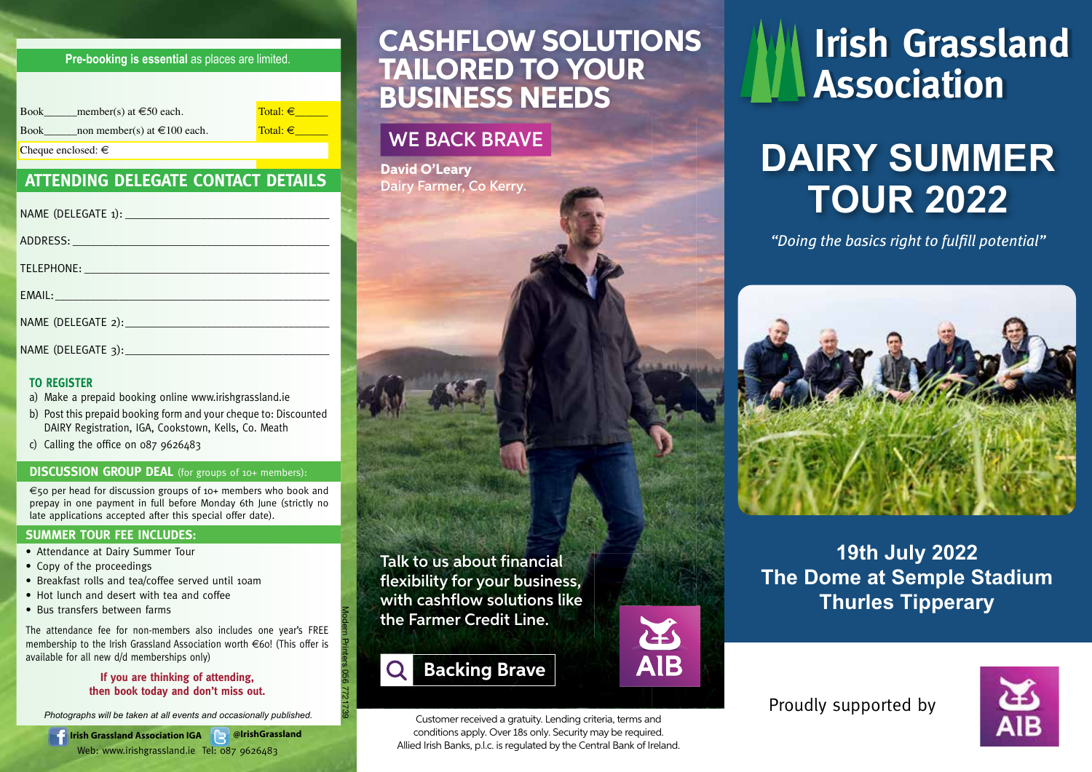### **Pre-booking is essential** as places are limited.

| member(s) at $\in 50$ each.<br><b>Book</b>      | Total: $\in$ |
|-------------------------------------------------|--------------|
| non member(s) at $\in$ 100 each.<br><b>Book</b> | Total: $\in$ |
| Cheque enclosed: $\in$                          |              |

### **ATTENDING DELEGATE CONTACT DETAILS**

#### **TO REGISTER**

- a) Make a prepaid booking online www.irishgrassland.ie
- b) Post this prepaid booking form and your cheque to: Discounted DAIRY Registration, IGA, Cookstown, Kells, Co. Meath
- c) Calling the office on 087 9626483

#### **DISCUSSION GROUP DEAL** (for groups of 10+ members):

€50 per head for discussion groups of 10+ members who book and prepay in one payment in full before Monday 6th June (strictly no late applications accepted after this special offer date).

#### **SUMMER TOUR FEE INCLUDES:**

- Attendance at Dairy Summer Tour
- Copy of the proceedings
- Breakfast rolls and tea/coffee served until 10am
- Hot lunch and desert with tea and coffee
- Bus transfers between farms

The attendance fee for non-members also includes one year's FREE membership to the Irish Grassland Association worth  $\in$  60! (This offer is available for all new d/d memberships only)

#### **If you are thinking of attending, then book today and don't miss out.**

*Photographs will be taken at all events and occasionally published.*

**Irish Grassland Association IGA @IrishGrassland** Web: www.irishgrassland.ie Tel: 087 9626483

## CASHFLOW SOLUTIONS TAILORED TO YOUR BUSINESS NEEDS

## WE BACK BRAVE

David O'Leary Dairy Farmer, Co Kerry.

Talk to us about financial flexibility for your business. with cashflow solutions like the Farmer Credit Line.

## **Backing Brave**

Modern Printers 056 7721739

Customer received a gratuity. Lending criteria, terms and conditions apply. Over 18s only. Security may be required. Allied Irish Banks, p.l.c. is regulated by the Central Bank of Ireland.

**AIB** 

# **Irish Grassland Association**

# *DAIRY SUMMER TOUR 2022*

*"Doing the basics right to fulfill potential"*



## *19th July 2022 The Dome at Semple Stadium Thurles Tipperary*